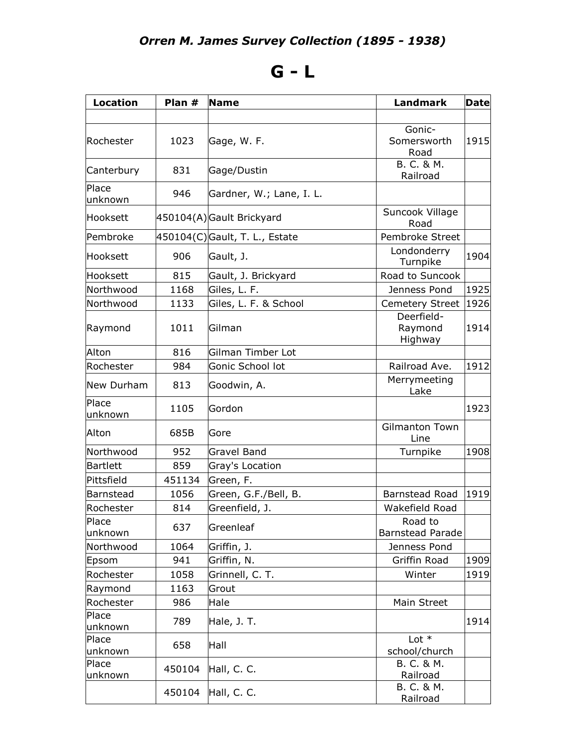## **G - L**

| <b>Location</b>  | Plan $#$ | <b>Name</b>                    | <b>Landmark</b>                    | <b>Date</b> |
|------------------|----------|--------------------------------|------------------------------------|-------------|
|                  |          |                                |                                    |             |
| Rochester        | 1023     | Gage, W. F.                    | Gonic-<br>Somersworth<br>Road      | 1915        |
| Canterbury       | 831      | Gage/Dustin                    | B. C. & M.<br>Railroad             |             |
| Place<br>unknown | 946      | Gardner, W.; Lane, I. L.       |                                    |             |
| Hooksett         |          | 450104(A)Gault Brickyard       | Suncook Village<br>Road            |             |
| Pembroke         |          | 450104(C) Gault, T. L., Estate | Pembroke Street                    |             |
| Hooksett         | 906      | Gault, J.                      | Londonderry<br>Turnpike            | 1904        |
| Hooksett         | 815      | Gault, J. Brickyard            | Road to Suncook                    |             |
| Northwood        | 1168     | Giles, L. F.                   | Jenness Pond                       | 1925        |
| Northwood        | 1133     | Giles, L. F. & School          | <b>Cemetery Street</b>             | 1926        |
| Raymond          | 1011     | Gilman                         | Deerfield-<br>Raymond<br>Highway   | 1914        |
| Alton            | 816      | Gilman Timber Lot              |                                    |             |
| Rochester        | 984      | Gonic School lot               | Railroad Ave.                      | 1912        |
| New Durham       | 813      | Goodwin, A.                    | Merrymeeting<br>Lake               |             |
| Place<br>unknown | 1105     | Gordon                         |                                    | 1923        |
| Alton            | 685B     | Gore                           | <b>Gilmanton Town</b><br>Line      |             |
| Northwood        | 952      | <b>Gravel Band</b>             | Turnpike                           | 1908        |
| Bartlett         | 859      | Gray's Location                |                                    |             |
| Pittsfield       | 451134   | Green, F.                      |                                    |             |
| Barnstead        | 1056     | Green, G.F./Bell, B.           | Barnstead Road                     | 1919        |
| Rochester        | 814      | Greenfield, J.                 | Wakefield Road                     |             |
| Place<br>unknown | 637      | Greenleaf                      | Road to<br><b>Barnstead Parade</b> |             |
| Northwood        | 1064     | Griffin, J.                    | Jenness Pond                       |             |
| Epsom            | 941      | Griffin, N.                    | Griffin Road                       | 1909        |
| Rochester        | 1058     | Grinnell, C. T.                | Winter                             | 1919        |
| Raymond          | 1163     | Grout                          |                                    |             |
| Rochester        | 986      | Hale                           | Main Street                        |             |
| Place<br>unknown | 789      | Hale, J. T.                    |                                    | 1914        |
| Place<br>unknown | 658      | Hall                           | Lot $*$<br>school/church           |             |
| Place<br>unknown | 450104   | Hall, C. C.                    | B. C. & M.<br>Railroad             |             |
|                  | 450104   | Hall, C. C.                    | B. C. & M.<br>Railroad             |             |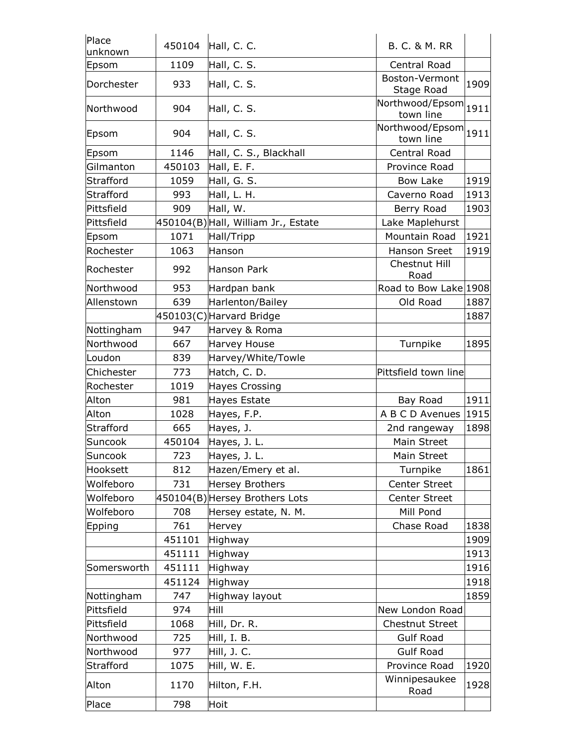| Place<br>unknown | 450104 | Hall, C. C.                         | <b>B. C. &amp; M. RR</b>     |      |
|------------------|--------|-------------------------------------|------------------------------|------|
| Epsom            | 1109   | Hall, C. S.                         | Central Road                 |      |
| Dorchester       | 933    | Hall, C. S.                         | Boston-Vermont<br>Stage Road | 1909 |
| Northwood        | 904    | Hall, C. S.                         | Northwood/Epsom<br>town line | 1911 |
| Epsom            | 904    | Hall, C. S.                         | Northwood/Epsom<br>town line | 1911 |
| Epsom            | 1146   | Hall, C. S., Blackhall              | Central Road                 |      |
| Gilmanton        | 450103 | Hall, E. F.                         | Province Road                |      |
| Strafford        | 1059   | Hall, G. S.                         | <b>Bow Lake</b>              | 1919 |
| Strafford        | 993    | Hall, L. H.                         | Caverno Road                 | 1913 |
| Pittsfield       | 909    | Hall, W.                            | Berry Road                   | 1903 |
| Pittsfield       |        | 450104(B) Hall, William Jr., Estate | Lake Maplehurst              |      |
| Epsom            | 1071   | Hall/Tripp                          | Mountain Road                | 1921 |
| Rochester        | 1063   | Hanson                              | Hanson Sreet                 | 1919 |
| Rochester        | 992    | Hanson Park                         | Chestnut Hill<br>Road        |      |
| Northwood        | 953    | Hardpan bank                        | Road to Bow Lake 1908        |      |
| Allenstown       | 639    | Harlenton/Bailey                    | Old Road                     | 1887 |
|                  |        | 450103(C)Harvard Bridge             |                              | 1887 |
| Nottingham       | 947    | Harvey & Roma                       |                              |      |
| Northwood        | 667    | <b>Harvey House</b>                 | Turnpike                     | 1895 |
| Loudon           | 839    | Harvey/White/Towle                  |                              |      |
| Chichester       | 773    | Hatch, C. D.                        | Pittsfield town line         |      |
| Rochester        | 1019   | Hayes Crossing                      |                              |      |
| Alton            | 981    | <b>Hayes Estate</b>                 | Bay Road                     | 1911 |
| Alton            | 1028   | Hayes, F.P.                         | A B C D Avenues              | 1915 |
| Strafford        | 665    | Hayes, J.                           | 2nd rangeway                 | 1898 |
| Suncook          | 450104 | Hayes, J. L.                        | Main Street                  |      |
| Suncook          | 723    | Hayes, J. L.                        | Main Street                  |      |
| Hooksett         | 812    | Hazen/Emery et al.                  | Turnpike                     | 1861 |
| Wolfeboro        | 731    | <b>Hersey Brothers</b>              | <b>Center Street</b>         |      |
| Wolfeboro        |        | 450104(B) Hersey Brothers Lots      | <b>Center Street</b>         |      |
| Wolfeboro        | 708    | Hersey estate, N. M.                | Mill Pond                    |      |
| Epping           | 761    | Hervey                              | Chase Road                   | 1838 |
|                  | 451101 | Highway                             |                              | 1909 |
|                  | 451111 | Highway                             |                              | 1913 |
| Somersworth      | 451111 | Highway                             |                              | 1916 |
|                  | 451124 | Highway                             |                              | 1918 |
| Nottingham       | 747    | Highway layout                      |                              | 1859 |
| Pittsfield       | 974    | Hill                                | New London Road              |      |
| Pittsfield       | 1068   | Hill, Dr. R.                        | <b>Chestnut Street</b>       |      |
| Northwood        | 725    | Hill, I. B.                         | <b>Gulf Road</b>             |      |
| Northwood        | 977    | Hill, J. C.                         | <b>Gulf Road</b>             |      |
| Strafford        | 1075   | Hill, W. E.                         | Province Road                | 1920 |
| Alton            | 1170   | Hilton, F.H.                        | Winnipesaukee<br>Road        | 1928 |
| Place            | 798    | Hoit                                |                              |      |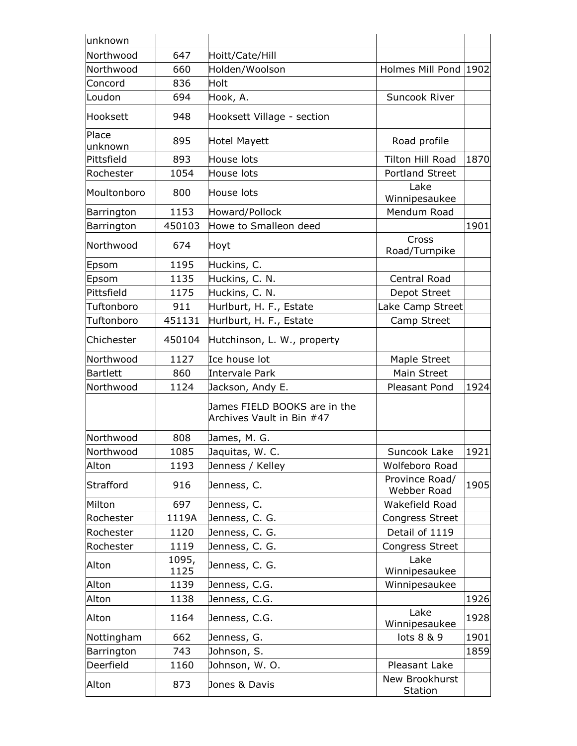| unknown          |               |                                                           |                               |      |
|------------------|---------------|-----------------------------------------------------------|-------------------------------|------|
| Northwood        | 647           | Hoitt/Cate/Hill                                           |                               |      |
| Northwood        | 660           | Holden/Woolson                                            | Holmes Mill Pond 1902         |      |
| Concord          | 836           | Holt                                                      |                               |      |
| Loudon           | 694           | Hook, A.                                                  | Suncook River                 |      |
| Hooksett         | 948           | Hooksett Village - section                                |                               |      |
| Place<br>unknown | 895           | Hotel Mayett                                              | Road profile                  |      |
| Pittsfield       | 893           | House lots                                                | Tilton Hill Road              | 1870 |
| Rochester        | 1054          | House lots                                                | <b>Portland Street</b>        |      |
| Moultonboro      | 800           | House lots                                                | Lake<br>Winnipesaukee         |      |
| Barrington       | 1153          | Howard/Pollock                                            | Mendum Road                   |      |
| Barrington       | 450103        | Howe to Smalleon deed                                     |                               | 1901 |
| Northwood        | 674           | Hoyt                                                      | Cross<br>Road/Turnpike        |      |
| Epsom            | 1195          | Huckins, C.                                               |                               |      |
| Epsom            | 1135          | Huckins, C. N.                                            | Central Road                  |      |
| Pittsfield       | 1175          | Huckins, C. N.                                            | Depot Street                  |      |
| Tuftonboro       | 911           | Hurlburt, H. F., Estate                                   | Lake Camp Street              |      |
| Tuftonboro       | 451131        | Hurlburt, H. F., Estate                                   | Camp Street                   |      |
| Chichester       | 450104        | Hutchinson, L. W., property                               |                               |      |
| Northwood        | 1127          | Ice house lot                                             | Maple Street                  |      |
| Bartlett         | 860           | <b>Intervale Park</b>                                     | Main Street                   |      |
| Northwood        | 1124          | Jackson, Andy E.                                          | Pleasant Pond                 | 1924 |
|                  |               | James FIELD BOOKS are in the<br>Archives Vault in Bin #47 |                               |      |
| Northwood        | 808           | James, M. G.                                              |                               |      |
| Northwood        | 1085          | Jaquitas, W. C.                                           | Suncook Lake                  | 1921 |
| Alton            | 1193          | Jenness / Kelley                                          | Wolfeboro Road                |      |
| Strafford        | 916           | Jenness, C.                                               | Province Road/<br>Webber Road | 1905 |
| Milton           | 697           | Jenness, C.                                               | Wakefield Road                |      |
| Rochester        | 1119A         | Jenness, C. G.                                            | <b>Congress Street</b>        |      |
| Rochester        | 1120          | Jenness, C. G.                                            | Detail of 1119                |      |
| Rochester        | 1119          | Jenness, C. G.                                            | <b>Congress Street</b>        |      |
| Alton            | 1095,<br>1125 | Jenness, C. G.                                            | Lake<br>Winnipesaukee         |      |
| Alton            | 1139          | Jenness, C.G.                                             | Winnipesaukee                 |      |
| Alton            | 1138          | Jenness, C.G.                                             |                               | 1926 |
| Alton            | 1164          | Jenness, C.G.                                             | Lake<br>Winnipesaukee         | 1928 |
| Nottingham       | 662           | Jenness, G.                                               | lots 8 & 9                    | 1901 |
| Barrington       | 743           | Johnson, S.                                               |                               | 1859 |
| Deerfield        | 1160          | Johnson, W. O.                                            | Pleasant Lake                 |      |
| Alton            | 873           | Jones & Davis                                             | New Brookhurst<br>Station     |      |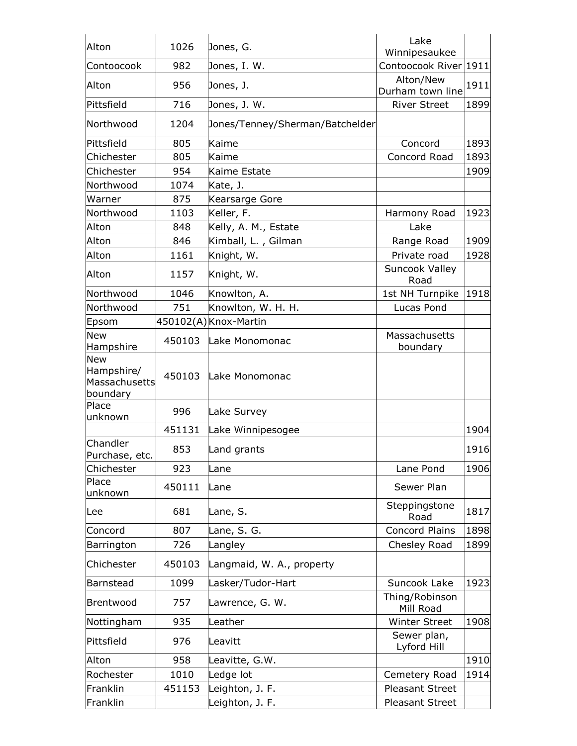| Alton                                          | 1026   | Jones, G.                       | Lake<br>Winnipesaukee         |      |
|------------------------------------------------|--------|---------------------------------|-------------------------------|------|
| Contoocook                                     | 982    | Jones, I. W.                    | Contoocook River 1911         |      |
| Alton                                          | 956    | Jones, J.                       | Alton/New<br>Durham town line | 1911 |
| Pittsfield                                     | 716    | Jones, J. W.                    | <b>River Street</b>           | 1899 |
| Northwood                                      | 1204   | Jones/Tenney/Sherman/Batchelder |                               |      |
| Pittsfield                                     | 805    | Kaime                           | Concord                       | 1893 |
| Chichester                                     | 805    | Kaime                           | Concord Road                  | 1893 |
| Chichester                                     | 954    | Kaime Estate                    |                               | 1909 |
| Northwood                                      | 1074   | Kate, J.                        |                               |      |
| Warner                                         | 875    | Kearsarge Gore                  |                               |      |
| Northwood                                      | 1103   | Keller, F.                      | Harmony Road                  | 1923 |
| Alton                                          | 848    | Kelly, A. M., Estate            | Lake                          |      |
| Alton                                          | 846    | Kimball, L., Gilman             | Range Road                    | 1909 |
| Alton                                          | 1161   | Knight, W.                      | Private road                  | 1928 |
| Alton                                          | 1157   | Knight, W.                      | Suncook Valley<br>Road        |      |
| Northwood                                      | 1046   | Knowlton, A.                    | 1st NH Turnpike               | 1918 |
| Northwood                                      | 751    | Knowlton, W. H. H.              | Lucas Pond                    |      |
| Epsom                                          |        | 450102(A) Knox-Martin           |                               |      |
| <b>New</b><br>Hampshire                        | 450103 | Lake Monomonac                  | Massachusetts<br>boundary     |      |
| New<br>Hampshire/<br>Massachusetts<br>boundary | 450103 | Lake Monomonac                  |                               |      |
| Place<br>unknown                               | 996    | Lake Survey                     |                               |      |
|                                                | 451131 | Lake Winnipesogee               |                               | 1904 |
| Chandler<br>Purchase, etc.                     | 853    | Land grants                     |                               | 1916 |
| Chichester                                     | 923    | Lane                            | Lane Pond                     | 1906 |
| Place<br>unknown                               | 450111 | Lane                            | Sewer Plan                    |      |
| Lee                                            | 681    | Lane, S.                        | Steppingstone<br>Road         | 1817 |
| Concord                                        | 807    | Lane, S. G.                     | Concord Plains                | 1898 |
| Barrington                                     | 726    | Langley                         | Chesley Road                  | 1899 |
| Chichester                                     | 450103 | Langmaid, W. A., property       |                               |      |
| Barnstead                                      | 1099   | Lasker/Tudor-Hart               | Suncook Lake                  | 1923 |
| Brentwood                                      | 757    | Lawrence, G. W.                 | Thing/Robinson<br>Mill Road   |      |
| Nottingham                                     | 935    | Leather                         | <b>Winter Street</b>          | 1908 |
| Pittsfield                                     | 976    | Leavitt                         | Sewer plan,<br>Lyford Hill    |      |
| Alton                                          | 958    | Leavitte, G.W.                  |                               | 1910 |
| Rochester                                      | 1010   | Ledge lot                       | Cemetery Road                 | 1914 |
| Franklin                                       | 451153 | Leighton, J. F.                 | Pleasant Street               |      |
| Franklin                                       |        | Leighton, J. F.                 | Pleasant Street               |      |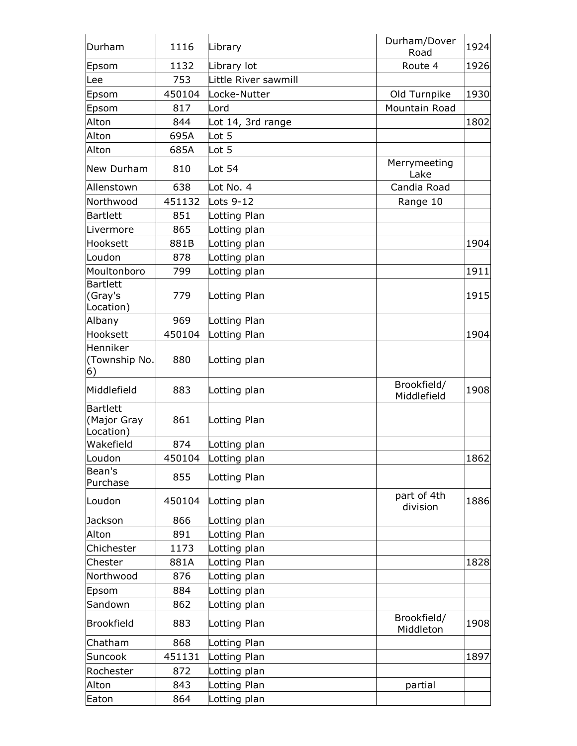| Durham                               | 1116   | Library              | Durham/Dover<br>Road       | 1924 |
|--------------------------------------|--------|----------------------|----------------------------|------|
| Epsom                                | 1132   | Library lot          | Route 4                    | 1926 |
| lLee                                 | 753    | Little River sawmill |                            |      |
| Epsom                                | 450104 | Locke-Nutter         | Old Turnpike               | 1930 |
| Epsom                                | 817    | Lord                 | Mountain Road              |      |
| Alton                                | 844    | Lot 14, 3rd range    |                            | 1802 |
| Alton                                | 695A   | Lot 5                |                            |      |
| Alton                                | 685A   | Lot 5                |                            |      |
| New Durham                           | 810    | Lot $54$             | Merrymeeting<br>Lake       |      |
| Allenstown                           | 638    | Lot No. 4            | Candia Road                |      |
| Northwood                            | 451132 | Lots 9-12            | Range 10                   |      |
| Bartlett                             | 851    | Lotting Plan         |                            |      |
| Livermore                            | 865    | Lotting plan         |                            |      |
| Hooksett                             | 881B   | Lotting plan         |                            | 1904 |
| Loudon                               | 878    | Lotting plan         |                            |      |
| Moultonboro                          | 799    | Lotting plan         |                            | 1911 |
| Bartlett<br>(Gray's<br>Location)     | 779    | Lotting Plan         |                            | 1915 |
| Albany                               | 969    | Lotting Plan         |                            |      |
| Hooksett                             | 450104 | Lotting Plan         |                            | 1904 |
| Henniker<br>(Township No.<br>6)      | 880    | Lotting plan         |                            |      |
| Middlefield                          | 883    | Lotting plan         | Brookfield/<br>Middlefield | 1908 |
| Bartlett<br>(Major Gray<br>Location) | 861    | Lotting Plan         |                            |      |
| Wakefield                            | 874    | Lotting plan         |                            |      |
| Loudon                               | 450104 | Lotting plan         |                            | 1862 |
| Bean's<br>Purchase                   | 855    | Lotting Plan         |                            |      |
| Loudon                               | 450104 | Lotting plan         | part of 4th<br>division    | 1886 |
| Jackson                              | 866    | Lotting plan         |                            |      |
| Alton                                | 891    | Lotting Plan         |                            |      |
| Chichester                           | 1173   | Lotting plan         |                            |      |
| Chester                              | 881A   | Lotting Plan         |                            | 1828 |
| Northwood                            | 876    | Lotting plan         |                            |      |
| Epsom                                | 884    | Lotting plan         |                            |      |
| Sandown                              | 862    | Lotting plan         |                            |      |
| Brookfield                           | 883    | Lotting Plan         | Brookfield/<br>Middleton   | 1908 |
| Chatham                              | 868    | Lotting Plan         |                            |      |
| Suncook                              | 451131 | Lotting Plan         |                            | 1897 |
| Rochester                            | 872    | Lotting plan         |                            |      |
| Alton                                | 843    | Lotting Plan         | partial                    |      |
| Eaton                                | 864    | Lotting plan         |                            |      |